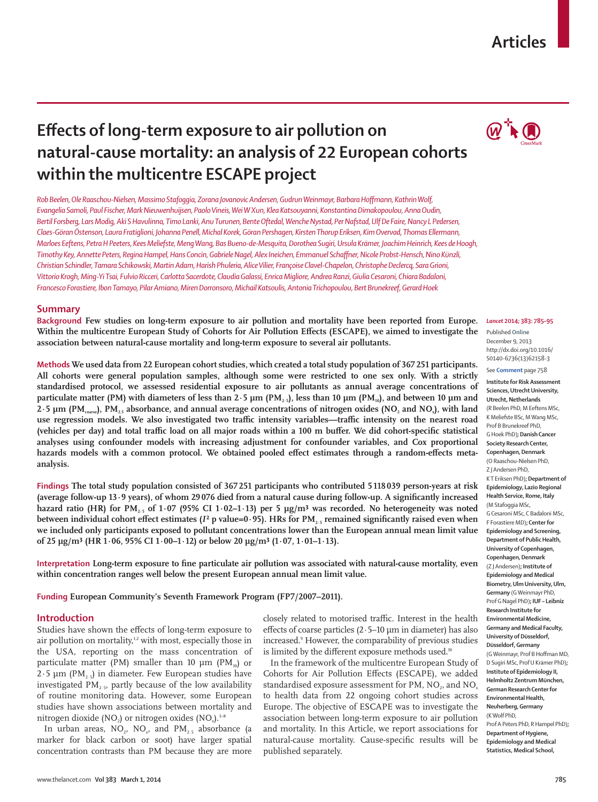## **Articles**

# Effects of long-term exposure to air pollution on **natural-cause mortality: an analysis of 22 European cohorts within the multicentre ESCAPE project**

*Rob Beelen, Ole Raaschou-Nielsen, Massimo Stafoggia, Zorana Jovanovic Andersen, Gudrun Weinmayr, Barbara Hoff mann, Kathrin Wolf, Evangelia Samoli, Paul Fischer, Mark Nieuwenhuijsen, Paolo Vineis, Wei W Xun, Klea Katsouyanni, Konstantina Dimakopoulou, Anna Oudin, Bertil Forsberg, Lars Modig, Aki S Havulinna, Timo Lanki, Anu Turunen, Bente Oftedal, Wenche Nystad, Per Nafstad, Ulf De Faire, Nancy L Pedersen, Claes-Göran Östenson, Laura Fratiglioni, Johanna Penell, Michal Korek, Göran Pershagen, Kirsten Thorup Eriksen, Kim Overvad, Thomas Ellermann, Marloes Eeftens, Petra H Peeters, Kees Meliefste, Meng Wang, Bas Bueno-de-Mesquita, Dorothea Sugiri, Ursula Krämer, Joachim Heinrich, Kees de Hoogh, Timothy Key, Annette Peters, Regina Hampel, Hans Concin, Gabriele Nagel, Alex Ineichen, Emmanuel Schaff ner, Nicole Probst-Hensch, Nino Künzli, Christian Schindler, Tamara Schikowski, Martin Adam, Harish Phuleria, Alice Vilier, Françoise Clavel-Chapelon, Christophe Declercq, Sara Grioni, Vittorio Krogh, Ming-Yi Tsai, Fulvio Ricceri, Carlotta Sacerdote, Claudia Galassi, Enrica Migliore, Andrea Ranzi, Giulia Cesaroni, Chiara Badaloni, Francesco Forastiere, Ibon Tamayo, Pilar Amiano, Miren Dorronsoro, Michail Katsoulis, Antonia Trichopoulou, Bert Brunekreef, Gerard Hoek*

#### **Summary**

**Background Few studies on long-term exposure to air pollution and mortality have been reported from Europe.**  Within the multicentre European Study of Cohorts for Air Pollution Effects (ESCAPE), we aimed to investigate the **association between natural-cause mortality and long-term exposure to several air pollutants.**



#### *Lancet* **2014; 383: 785–95**

Published **Online** December 0, 2013 http://dx.doi.org/10.1016/ S0140-6736(13)62158-3

See **Comment** page 758

**Institute for Risk Assessment Sciences, Utrecht University, Utrecht, Netherlands**  (R Beelen PhD, M Eeftens MSc, K Meliefste BSc, M Wang MSc, Prof B Brunekreef PhD, G Hoek PhD)**; Danish Cancer Society Research Center, Copenhagen, Denmark** (O Raaschou-Nielsen PhD, Z I Andersen PhD K T Eriksen PhD)**; Department of Epidemiology, Lazio Regional Health Service, Rome, Italy**  (M Stafoggia MSc, G Cesaroni MSc, C Badaloni MSc, F Forastiere MD)**; Center for Epidemiology and Screening, Department of Public Health, University of Copenhagen, Copenhagen, Denmark** (Z J Andersen)**; Institute of Epidemiology and Medical Biometry, Ulm University, Ulm, Germany** (G Weinmayr PhD, Prof G Nagel PhD)**; IUF – Leibniz Research Institute for Environmental Medicine, Germany and Medical Faculty, University of Düsseldorf, Düsseldorf, Germany**  (G Weinmayr, Prof B Hoffman MD, D Sugiri MSc, Prof U Krämer PhD)**; Institute of Epidemiology II, Helmholtz Zentrum München, German Research Center for Environmental Health, Neuherberg, Germany** (K Wolf PhD, Prof A Peters PhD, R Hampel PhD)**; Department of Hygiene, Epidemiology and Medical Statistics, Medical School,**

**Methods We used data from 22 European cohort studies, which created a total study population of 367 251 participants. All cohorts were general population samples, although some were restricted to one sex only. With a strictly standardised protocol, we assessed residential exposure to air pollutants as annual average concentrations of particulate matter (PM) with diameters of less than 2.5 μm (PM, J), less than 10 μm (PM<sub>10</sub>), and between 10 μm and** 2.5 um (PM<sub>coars</sub>), PM<sub>cs</sub> absorbance, and annual average concentrations of nitrogen oxides (NO<sub>2</sub> and NO<sub>2</sub>), with land use regression models. We also investigated two traffic intensity variables—traffic intensity on the nearest road (vehicles per day) and total traffic load on all major roads within a 100 m buffer. We did cohort-specific statistical **analyses using confounder models with increasing adjustment for confounder variables, and Cox proportional**  hazards models with a common protocol. We obtained pooled effect estimates through a random-effects meta**analysis.**

**Findings The total study population consisted of 367 251 participants who contributed 5 118 039 person-years at risk**  (average follow-up 13 · 9 years), of whom 29 076 died from a natural cause during follow-up. A significantly increased hazard ratio (HR) for PM<sub>2</sub>, of 1·07 (95% CI 1·02–1·13) per 5  $\mu$ g/m<sup>3</sup> was recorded. No heterogeneity was noted between individual cohort effect estimates (*I*<sup>2</sup> p value=0·95). HRs for PM<sub>2</sub>, remained significantly raised even when **we included only participants exposed to pollutant concentrations lower than the European annual mean limit value of 25 μg/m³ (HR 1·06, 95% CI 1·00–1·12) or below 20 μg/m³ (1·07, 1·01–1·13).**

Interpretation Long-term exposure to fine particulate air pollution was associated with natural-cause mortality, even **within concentration ranges well below the present European annual mean limit value.**

**Funding European Community's Seventh Framework Program (FP7/2007–2011).**

#### **Introduction**

Studies have shown the effects of long-term exposure to air pollution on mortality, $1,2$  with most, especially those in the USA, reporting on the mass concentration of particulate matter (PM) smaller than 10  $\mu$ m (PM<sub>10</sub>) or  $2.5 \mu m$  (PM<sub>25</sub>) in diameter. Few European studies have investigated  $PM<sub>2.5</sub>$ , partly because of the low availability of routine monitoring data. However, some European studies have shown associations between mortality and nitrogen dioxide (NO<sub>2</sub>) or nitrogen oxides (NO<sub>3</sub>).<sup>3-8</sup>

In urban areas,  $NO<sub>2</sub>$ ,  $NO<sub>x</sub>$ , and  $PM<sub>2.5</sub>$ , absorbance (a marker for black carbon or soot) have larger spatial concentration contrasts than PM because they are more closely related to motorised traffic. Interest in the health effects of coarse particles  $(2.5-10 \,\mu m)$  in diameter) has also increased.9 However, the comparability of previous studies is limited by the different exposure methods used.<sup>10</sup>

In the framework of the multicentre European Study of Cohorts for Air Pollution Effects (ESCAPE), we added standardised exposure assessment for PM, NO<sub>2</sub>, and NO<sub>2</sub> to health data from 22 ongoing cohort studies across Europe. The objective of ESCAPE was to investigate the association between long-term exposure to air pollution and mortality. In this Article, we report associations for natural-cause mortality. Cause-specific results will be published separately.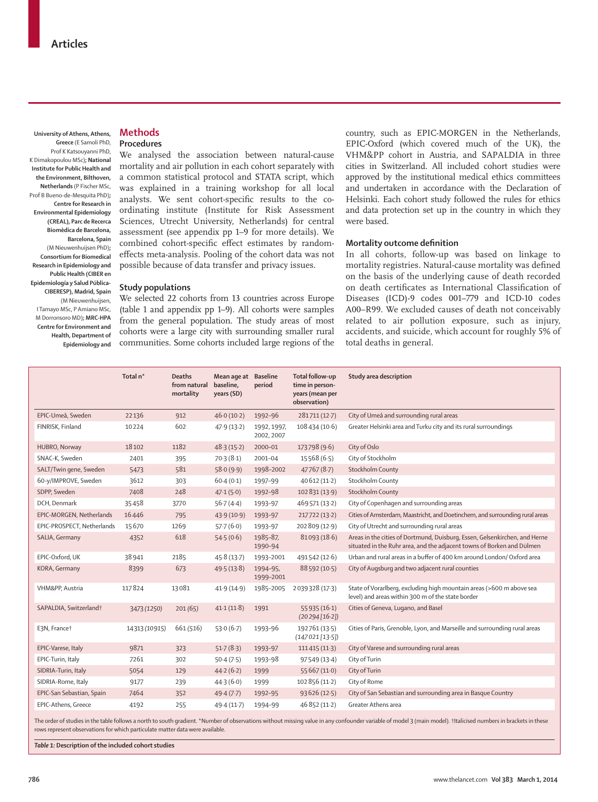**University of Athens, Athens, Greece** (E Samoli PhD, Prof K Katsouyanni PhD, K Dimakopoulou MSc)**; National Institute for Public Health and the Environment, Bilthoven, Netherlands** (P Fischer MSc, Prof B Bueno-de-Mesquita PhD)**; Centre for Research in Environmental Epidemiology (CREAL), Parc de Recerca Biomèdica de Barcelona, Barcelona, Spain** (M Nieuwenhuijsen PhD)**; Consortium for Biomedical Research in Epidemiology and Public Health (CIBER en Epidemiología y Salud Pública-CIBERESP), Madrid, Spain** (M Nieuwenhuijsen, I Tamayo MSc, P Amiano MSc, M Dorronsoro MD)**; MRC-HPA Centre for Environment and Health, Department of Epidemiology and**

#### **Methods Procedures**

We analysed the association between natural-cause mortality and air pollution in each cohort separately with a common statistical protocol and STATA script, which was explained in a training workshop for all local analysts. We sent cohort-specific results to the coordinating institute (Institute for Risk Assessment Sciences, Utrecht University, Netherlands) for central assessment (see appendix pp 1–9 for more details). We combined cohort-specific effect estimates by randomeffects meta-analysis. Pooling of the cohort data was not possible because of data transfer and privacy issues.

#### **Study populations**

We selected 22 cohorts from 13 countries across Europe (table 1 and appendix pp 1–9). All cohorts were samples from the general population. The study areas of most cohorts were a large city with surrounding smaller rural communities. Some cohorts included large regions of the country, such as EPIC-MORGEN in the Netherlands, EPIC-Oxford (which covered much of the UK), the VHM&PP cohort in Austria, and SAPALDIA in three cities in Switzerland. All included cohort studies were approved by the institutional medical ethics committees and undertaken in accordance with the Declaration of Helsinki. Each cohort study followed the rules for ethics and data protection set up in the country in which they were based.

#### **Mortality outcome definition**

In all cohorts, follow-up was based on linkage to mortality registries. Natural-cause mortality was defined on the basis of the underlying cause of death recorded on death certificates as International Classification of Diseases (ICD)-9 codes 001–779 and ICD-10 codes A00–R99. We excluded causes of death not conceivably related to air pollution exposure, such as injury, accidents, and suicide, which account for roughly 5% of total deaths in general.

|                            | Total n*      | <b>Deaths</b><br>from natural<br>mortality | Mean age at Baseline<br>baseline,<br>years (SD) | period                    | Total follow-up<br>time in person-<br>years (mean per<br>observation) | Study area description                                                                                                                               |
|----------------------------|---------------|--------------------------------------------|-------------------------------------------------|---------------------------|-----------------------------------------------------------------------|------------------------------------------------------------------------------------------------------------------------------------------------------|
| EPIC-Umeå, Sweden          | 22136         | 912                                        | 46.0(10.2)                                      | 1992-96                   | 281711 (12.7)                                                         | City of Umeå and surrounding rural areas                                                                                                             |
| FINRISK, Finland           | 10224         | 602                                        | 47.9(13.2)                                      | 1992, 1997,<br>2002, 2007 | 108 434 (10.6)                                                        | Greater Helsinki area and Turku city and its rural surroundings                                                                                      |
| HUBRO, Norway              | 18102         | 1182                                       | 48.3(15.2)                                      | 2000-01                   | 173798 (9.6)                                                          | City of Oslo                                                                                                                                         |
| SNAC-K, Sweden             | 2401          | 395                                        | 70.3(8.1)                                       | 2001-04                   | 15568 (6.5)                                                           | City of Stockholm                                                                                                                                    |
| SALT/Twin gene, Sweden     | 5473          | 581                                        | 58.0(9.9)                                       | 1998-2002                 | 47767 (8.7)                                                           | Stockholm County                                                                                                                                     |
| 60-y/IMPROVE, Sweden       | 3612          | 303                                        | 60.4(0.1)                                       | 1997-99                   | 40 612 (11-2)                                                         | Stockholm County                                                                                                                                     |
| SDPP, Sweden               | 7408          | 248                                        | 47.1(5.0)                                       | 1992-98                   | 102 831 (13.9)                                                        | Stockholm County                                                                                                                                     |
| DCH, Denmark               | 35458         | 3770                                       | 56.7(4.4)                                       | 1993-97                   | 469571 (13-2)                                                         | City of Copenhagen and surrounding areas                                                                                                             |
| EPIC-MORGEN, Netherlands   | 16446         | 795                                        | 43.9(10.9)                                      | 1993-97                   | 217722 (13-2)                                                         | Cities of Amsterdam, Maastricht, and Doetinchem, and surrounding rural areas                                                                         |
| EPIC-PROSPECT, Netherlands | 15670         | 1269                                       | 57.7(6.0)                                       | 1993-97                   | 202 809 (12.9)                                                        | City of Utrecht and surrounding rural areas                                                                                                          |
| SALIA, Germany             | 4352          | 618                                        | 54.5(0.6)                                       | 1985-87,<br>1990-94       | 81093 (18.6)                                                          | Areas in the cities of Dortmund, Duisburg, Essen, Gelsenkirchen, and Herne<br>situated in the Ruhr area, and the adjacent towns of Borken and Dülmen |
| EPIC-Oxford, UK            | 38941         | 2185                                       | 45.8(13.7)                                      | 1993-2001                 | 491542 (12.6)                                                         | Urban and rural areas in a buffer of 400 km around London/Oxford area                                                                                |
| KORA, Germany              | 8399          | 673                                        | 49.5(13.8)                                      | 1994-95,<br>1999-2001     | 88 592 (10.5)                                                         | City of Augsburg and two adjacent rural counties                                                                                                     |
| VHM&PP, Austria            | 117824        | 13081                                      | 41.9(14.9)                                      | 1985-2005                 | 2039328 (17-3)                                                        | State of Vorarlberg, excluding high mountain areas (>600 m above sea<br>level) and areas within 300 m of the state border                            |
| SAPALDIA, Switzerland†     | 3473 (1250)   | 201(65)                                    | 41.1(11.8)                                      | 1991                      | 55 935 (16.1)<br>(20294[16.2])                                        | Cities of Geneva, Lugano, and Basel                                                                                                                  |
| E3N, Francet               | 14313 (10915) | 661 (516)                                  | 53.0(6.7)                                       | 1993-96                   | 192761 (13.5)<br>(147021 [13.5])                                      | Cities of Paris, Grenoble, Lyon, and Marseille and surrounding rural areas                                                                           |
| EPIC-Varese, Italy         | 9871          | 323                                        | 51.7(8.3)                                       | 1993-97                   | 111415 (11-3)                                                         | City of Varese and surrounding rural areas                                                                                                           |
| EPIC-Turin, Italy          | 7261          | 302                                        | 50.4(7.5)                                       | 1993-98                   | 97549 (13-4)                                                          | City of Turin                                                                                                                                        |
| SIDRIA-Turin, Italy        | 5054          | 129                                        | 44.2(6.2)                                       | 1999                      | 55 667 (11.0)                                                         | City of Turin                                                                                                                                        |
| SIDRIA-Rome, Italy         | 9177          | 239                                        | 44.3(6.0)                                       | 1999                      | 102 856 (11-2)                                                        | City of Rome                                                                                                                                         |
| EPIC-San Sebastian, Spain  | 7464          | 352                                        | 49.4(7.7)                                       | 1992-95                   | 93 626 (12.5)                                                         | City of San Sebastian and surrounding area in Basque Country                                                                                         |
| EPIC-Athens, Greece        | 4192          | 255                                        | 49.4(11.7)                                      | 1994-99                   | 46 852 (11.2)                                                         | Greater Athens area                                                                                                                                  |

The order of studies in the table follows a north to south gradient. \*Number of observations without missing value in any confounder variable of model 3 (main model). †Italicised numbers in brackets in these rows represent observations for which particulate matter data were available.

*Table 1:* **Description of the included cohort studies**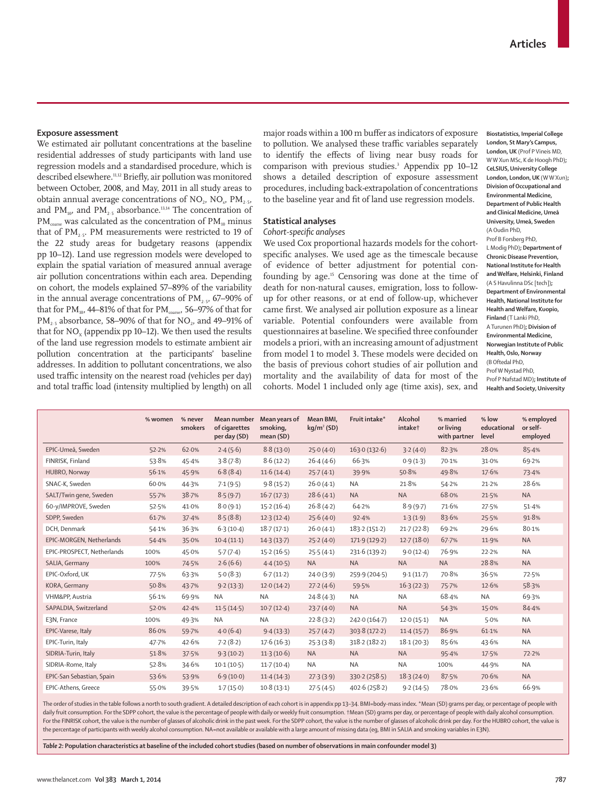**Biostatistics, Imperial College** 

#### **Exposure assessment**

We estimated air pollutant concentrations at the baseline residential addresses of study participants with land use regression models and a standardised procedure, which is described elsewhere.<sup>11,12</sup> Briefly, air pollution was monitored between October, 2008, and May, 2011 in all study areas to obtain annual average concentrations of  $NO_2$ ,  $NO_x$ ,  $PM_{2.5}$ , and  $PM_{10}$ , and  $PM_{2.5}$  absorbance.<sup>13,14</sup> The concentration of  $PM_{\text{coarse}}$  was calculated as the concentration of  $PM_{10}$  minus that of  $PM_{2.5}$ . PM measurements were restricted to 19 of the 22 study areas for budgetary reasons (appendix pp 10–12). Land use regression models were developed to explain the spatial variation of measured annual average air pollution concentrations within each area. Depending on cohort, the models explained 57–89% of the variability in the annual average concentrations of  $PM<sub>2.5</sub>$ , 67–90% of that for  $PM_{10}$ , 44–81% of that for  $PM_{coarse}$ , 56–97% of that for  $PM_{2.5}$  absorbance, 58–90% of that for NO<sub>2</sub>, and 49–91% of that for  $NO<sub>v</sub>$  (appendix pp 10–12). We then used the results of the land use regression models to estimate ambient air pollution concentration at the participants' baseline addresses. In addition to pollutant concentrations, we also used traffic intensity on the nearest road (vehicles per day) and total traffic load (intensity multiplied by length) on all major roads within a 100 m buffer as indicators of exposure to pollution. We analysed these traffic variables separately to identify the effects of living near busy roads for comparison with previous studies.3 Appendix pp 10–12 shows a detailed description of exposure assessment procedures, including back-extrapolation of concentrations to the baseline year and fit of land use regression models.

#### **Statistical analyses**

#### *Cohort-specifi c analyses*

We used Cox proportional hazards models for the cohortspecific analyses. We used age as the timescale because of evidence of better adjustment for potential confounding by age.15 Censoring was done at the time of death for non-natural causes, emigration, loss to followup for other reasons, or at end of follow-up, whichever came first. We analysed air pollution exposure as a linear variable. Potential confounders were available from questionnaires at baseline. We specified three confounder models a priori, with an increasing amount of adjustment from model 1 to model 3. These models were decided on the basis of previous cohort studies of air pollution and mortality and the availability of data for most of the cohorts. Model 1 included only age (time axis), sex, and

**London, St Mary's Campus, London, UK** (Prof P Vineis MD, W W Xun MSc, K de Hoogh PhD)**; CeLSIUS, University College London, London, UK** (W W Xun)**; Division of Occupational and Environmental Medicine, Department of Public Health and Clinical Medicine, Umeå University, Umeå, Sweden** (A Oudin PhD, Prof B Forsberg PhD, L Modig PhD)**; Department of Chronic Disease Prevention, National Institute for Health and Welfare, Helsinki, Finland** (A S Havulinna DSc [tech])**; Department of Environmental Health, National Institute for Health and Welfare, Kuopio, Finland** (T Lanki PhD, A Turunen PhD)**; Division of Environmental Medicine, Norwegian Institute of Public Health, Oslo, Norway** (B Oftedal PhD, Prof W Nystad PhD, Prof P Nafstad MD)**; Institute of Health and Society, University**

|                            | % women | % never<br>smokers | Mean number<br>of cigarettes<br>per day (SD) | Mean years of<br>smoking,<br>mean (SD) | Mean BMI,<br>kg/m <sup>2</sup> (SD) | Fruit intake* | Alcohol<br>intaket | % married<br>or living<br>with partner | % low<br>educational<br>level | % employed<br>or self-<br>employed |
|----------------------------|---------|--------------------|----------------------------------------------|----------------------------------------|-------------------------------------|---------------|--------------------|----------------------------------------|-------------------------------|------------------------------------|
| EPIC-Umeå, Sweden          | 52.2%   | 62.0%              | 2.4(5.6)                                     | 8.8(13.0)                              | 25.0(4.0)                           | 163.0(132.6)  | 3.2(4.0)           | 82.3%                                  | 28.0%                         | 85.4%                              |
| FINRISK, Finland           | 53.8%   | 45.4%              | 3.8(7.8)                                     | 8.6(12.2)                              | 26.4(4.6)                           | 66.3%         | 0.9(1.3)           | 70.1%                                  | 31.0%                         | 69.2%                              |
| HUBRO, Norway              | 56.1%   | 45.9%              | 6.8(8.4)                                     | 11.6(14.4)                             | 25.7(4.1)                           | 39.9%         | 50.8%              | 49.8%                                  | 17.6%                         | 73.4%                              |
| SNAC-K, Sweden             | 60.0%   | 44.3%              | 7.1(9.5)                                     | 9.8(15.2)                              | 26.0(4.1)                           | <b>NA</b>     | 21.8%              | 54.2%                                  | 21.2%                         | 28.6%                              |
| SALT/Twin gene, Sweden     | 55.7%   | 38.7%              | 8.5(9.7)                                     | 16.7(17.3)                             | 28.6(4.1)                           | <b>NA</b>     | <b>NA</b>          | 68.0%                                  | 21.5%                         | <b>NA</b>                          |
| 60-y/IMPROVE, Sweden       | 52.5%   | 41.0%              | 8.0(9.1)                                     | 15.2(16.4)                             | 26.8(4.2)                           | 64.2%         | 8.9(9.7)           | 71.6%                                  | 27.5%                         | 51.4%                              |
| SDPP, Sweden               | 61.7%   | 37.4%              | 8.5(8.8)                                     | 12.3(12.4)                             | 25.6(4.0)                           | 92.4%         | 1.3(1.9)           | 83.6%                                  | 25.5%                         | 91.8%                              |
| DCH, Denmark               | 54.1%   | 36.3%              | 6.3(10.4)                                    | 18.7(17.1)                             | 26.0(4.1)                           | 183.2(151.2)  | 21.7(22.8)         | 69.2%                                  | 29.6%                         | 80.1%                              |
| EPIC-MORGEN, Netherlands   | 54.4%   | 35.0%              | $10-4(11-1)$                                 | 14.3(13.7)                             | 25.2(4.0)                           | 171.9(129.2)  | 12.7(18.0)         | 67.7%                                  | 11.9%                         | <b>NA</b>                          |
| EPIC-PROSPECT, Netherlands | 100%    | 45.0%              | 5.7(7.4)                                     | 15.2(16.5)                             | 25.5(4.1)                           | 231.6 (139.2) | 9.0(12.4)          | 76.9%                                  | 22.2%                         | <b>NA</b>                          |
| SALIA, Germany             | 100%    | 74.5%              | 2.6(6.6)                                     | 4.4(10.5)                              | <b>NA</b>                           | <b>NA</b>     | <b>NA</b>          | <b>NA</b>                              | 28.8%                         | <b>NA</b>                          |
| EPIC-Oxford, UK            | 77.5%   | 63.3%              | 5.0(8.3)                                     | 6.7(11.2)                              | 24.0(3.9)                           | 259.9 (204.5) | 9.1(11.7)          | 70.8%                                  | 36.5%                         | 72.5%                              |
| KORA, Germany              | 50.8%   | 43.7%              | 9.2(13.3)                                    | 12.0(14.2)                             | 27.2(4.6)                           | 59.5%         | 16.3(22.3)         | 75.7%                                  | 12.6%                         | 58.3%                              |
| VHM&PP, Austria            | 56.1%   | 69.9%              | <b>NA</b>                                    | <b>NA</b>                              | 24.8(4.3)                           | <b>NA</b>     | <b>NA</b>          | 68.4%                                  | <b>NA</b>                     | 69.3%                              |
| SAPALDIA, Switzerland      | 52.0%   | 42.4%              | 11.5(14.5)                                   | 10.7(12.4)                             | 23.7(4.0)                           | <b>NA</b>     | <b>NA</b>          | 54.3%                                  | 15.0%                         | 84.4%                              |
| E3N, France                | 100%    | 49.3%              | <b>NA</b>                                    | <b>NA</b>                              | 22.8(3.2)                           | 242.0(164.7)  | 12.0(15.1)         | <b>NA</b>                              | 5.0%                          | <b>NA</b>                          |
| EPIC-Varese, Italy         | 86.0%   | 59.7%              | 4.0(6.4)                                     | 9.4(13.3)                              | 25.7(4.2)                           | 303.8(172.2)  | 11.4(15.7)         | 86.9%                                  | 61.1%                         | <b>NA</b>                          |
| EPIC-Turin, Italy          | 47.7%   | 42.6%              | 7.2(8.2)                                     | 17.6(16.3)                             | 25.3(3.8)                           | 318.2(182.2)  | 18.1(20.3)         | 85.6%                                  | 43.6%                         | <b>NA</b>                          |
| SIDRIA-Turin, Italy        | 51.8%   | 37.5%              | 9.3(10.2)                                    | 11.3(10.6)                             | <b>NA</b>                           | <b>NA</b>     | <b>NA</b>          | 95.4%                                  | 17.5%                         | 72.2%                              |
| SIDRIA-Rome, Italy         | 52.8%   | 34.6%              | 10.1(10.5)                                   | 11.7(10.4)                             | <b>NA</b>                           | <b>NA</b>     | <b>NA</b>          | 100%                                   | 44.9%                         | <b>NA</b>                          |
| EPIC-San Sebastian, Spain  | 53.6%   | 53.9%              | 6.9(10.0)                                    | 11.4(14.3)                             | 27.3(3.9)                           | 330.2(258.5)  | 18.3(24.0)         | 87.5%                                  | 70.6%                         | <b>NA</b>                          |
| EPIC-Athens, Greece        | 55.0%   | 39.5%              | 1.7(15.0)                                    | 10.8(13.1)                             | 27.5(4.5)                           | 402.6(258.2)  | 9.2(14.5)          | 78.0%                                  | 23.6%                         | 66.9%                              |

The order of studies in the table follows a north to south gradient. A detailed description of each cohort is in appendix pp 13-34. BMI=body-mass index. \*Mean (SD) grams per day, or percentage of people with daily fruit consumption. For the SDPP cohort, the value is the percentage of people with daily or weekly fruit consumption. †Mean (SD) grams per day, or percentage of people with daily alcohol consumption. For the FINRISK cohort, the value is the number of glasses of alcoholic drink in the past week. For the SDPP cohort, the value is the number of glasses of alcoholic drink per day. For the HUBRO cohort, the value is the percentage of participants with weekly alcohol consumption. NA=not available or available with a large amount of missing data (eg, BMI in SALIA and smoking variables in E3N).

*Table 2:* **Population characteristics at baseline of the included cohort studies (based on number of observations in main confounder model 3)**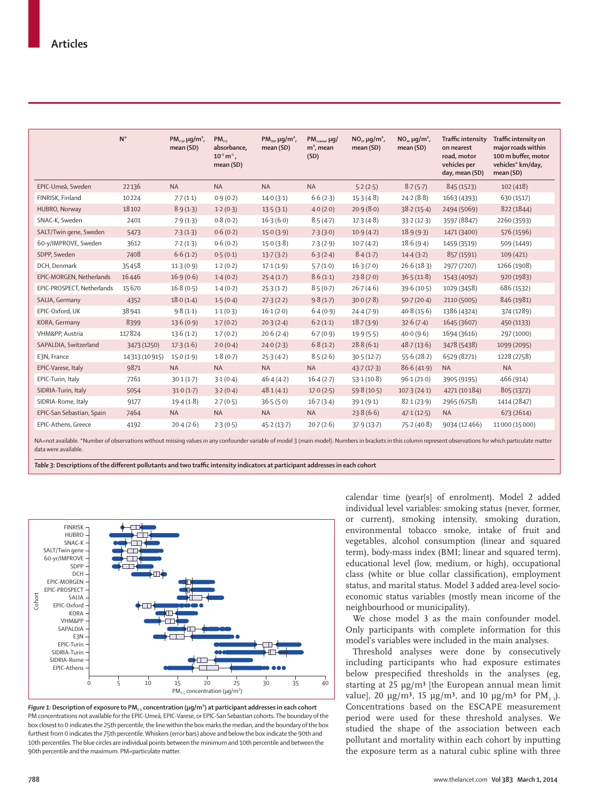|                            | $N^*$         | PM <sub>2.5</sub> , $\mu q/m^3$ ,<br>mean (SD) | $PM_{2.5}$<br>absorbance,<br>$10^{-5}$ m <sup>-1</sup> ,<br>mean (SD) | PM <sub>10</sub> , $\mu q/m^3$ ,<br>mean (SD) | $PM_{coarse}$ , $\mu q$ /<br>$m3$ , mean<br>(SD) | $NO_{2}$ , $\mu q/m^{3}$ ,<br>mean(SD) | $NO_{v}$ , $\mu q/m^{3}$ ,<br>mean (SD) | <b>Traffic intensity</b><br>on nearest<br>road, motor<br>vehicles per<br>day, mean (SD) | Traffic intensity on<br>major roads within<br>100 m buffer, motor<br>vehicles* km/day,<br>mean (SD) |
|----------------------------|---------------|------------------------------------------------|-----------------------------------------------------------------------|-----------------------------------------------|--------------------------------------------------|----------------------------------------|-----------------------------------------|-----------------------------------------------------------------------------------------|-----------------------------------------------------------------------------------------------------|
| EPIC-Umeå, Sweden          | 22136         | <b>NA</b>                                      | <b>NA</b>                                                             | <b>NA</b>                                     | <b>NA</b>                                        | 5.2(2.5)                               | 8.7(5.7)                                | 845 (1523)                                                                              | 102(418)                                                                                            |
| FINRISK, Finland           | 10224         | 7.7(1.1)                                       | 0.9(0.2)                                                              | 14.0(3.1)                                     | 6.6(2.3)                                         | 15.3(4.8)                              | 24.2(8.8)                               | 1663 (4393)                                                                             | 630 (1517)                                                                                          |
| HUBRO, Norway              | 18102         | 8.9(1.3)                                       | 1.2(0.3)                                                              | 13.5(3.1)                                     | 4.0(2.0)                                         | 20.9(8.0)                              | 38.2(15.4)                              | 2494 (5069)                                                                             | 822 (1844)                                                                                          |
| SNAC-K, Sweden             | 2401          | 7.9(1.3)                                       | 0.8(0.2)                                                              | 16.3(6.0)                                     | 8.5(4.7)                                         | 17.3(4.8)                              | 33.2(12.3)                              | 3597 (8847)                                                                             | 2260 (3593)                                                                                         |
| SALT/Twin gene, Sweden     | 5473          | 7.3(1.3)                                       | 0.6(0.2)                                                              | 15.0(3.9)                                     | 7.3(3.0)                                         | 10.9(4.2)                              | 18.9(9.3)                               | 1471 (3400)                                                                             | 576 (1596)                                                                                          |
| 60-y/IMPROVE, Sweden       | 3612          | 7.2(1.3)                                       | 0.6(0.2)                                                              | 15.0(3.8)                                     | 7.3(2.9)                                         | $10-7(4-2)$                            | 18.6(9.4)                               | 1459 (3519)                                                                             | 509 (1449)                                                                                          |
| SDPP, Sweden               | 7408          | 6.6(1.2)                                       | 0.5(0.1)                                                              | 13.7(3.2)                                     | 6.3(2.4)                                         | 8.4(1.7)                               | 14.4(3.2)                               | 857 (1591)                                                                              | 109 (421)                                                                                           |
| DCH, Denmark               | 35458         | 11.3(0.9)                                      | 1.2(0.2)                                                              | 17.1(1.9)                                     | 5.7(1.0)                                         | $16-3(7-0)$                            | 26.6(18.3)                              | 2977 (7207)                                                                             | 1266 (1908)                                                                                         |
| EPIC-MORGEN, Netherlands   | 16446         | 16.9(0.6)                                      | 1.4(0.2)                                                              | 25.4(1.7)                                     | 8.6(1.1)                                         | 23.8(7.0)                              | 36.5(11.8)                              | 1543 (4092)                                                                             | 920 (1983)                                                                                          |
| EPIC-PROSPECT, Netherlands | 15670         | 16.8(0.5)                                      | 1.4(0.2)                                                              | 25.3(1.2)                                     | 8.5(0.7)                                         | 26.7(4.6)                              | 39.6 (10.5)                             | 1029 (3458)                                                                             | 686 (1532)                                                                                          |
| SALIA, Germany             | 4352          | 18.0(1.4)                                      | 1.5(0.4)                                                              | 27.3(2.2)                                     | 9.8(1.7)                                         | 30.0(7.8)                              | 50.7(20.4)                              | 2110 (5005)                                                                             | 846 (1981)                                                                                          |
| EPIC-Oxford, UK            | 38941         | 9.8(1.1)                                       | 1.1(0.3)                                                              | 16.1(2.0)                                     | 6.4(0.9)                                         | 24.4(7.9)                              | 40.8(15.6)                              | 1386 (4324)                                                                             | 374 (1289)                                                                                          |
| KORA, Germany              | 8399          | 13.6(0.9)                                      | 1.7(0.2)                                                              | 20.3(2.4)                                     | 6.2(1.1)                                         | 18.7(3.9)                              | 32.6(7.4)                               | 1645 (3607)                                                                             | 450 (1133)                                                                                          |
| VHM&PP, Austria            | 117824        | 13.6(1.2)                                      | 1.7(0.2)                                                              | 20.6(2.4)                                     | 6.7(0.9)                                         | 19.9(5.5)                              | 40.0(9.6)                               | 1694 (3616)                                                                             | 297 (1000)                                                                                          |
| SAPALDIA, Switzerland      | 3473 (1250)   | 17.3(1.6)                                      | 2.0(0.4)                                                              | 24.0(2.3)                                     | 6.8(1.2)                                         | 28.8(6.1)                              | 48.7(13.6)                              | 3478 (5438)                                                                             | 1099 (2095)                                                                                         |
| E3N, France                | 14313 (10915) | 15.0(1.9)                                      | 1.8(0.7)                                                              | 25.3(4.2)                                     | 8.5(2.6)                                         | 30.5(12.7)                             | 55.6(28.2)                              | 6529 (8271)                                                                             | 1228 (2758)                                                                                         |
| EPIC-Varese, Italy         | 9871          | <b>NA</b>                                      | <b>NA</b>                                                             | <b>NA</b>                                     | <b>NA</b>                                        | 43.7(17.3)                             | 86.6(41.9)                              | <b>NA</b>                                                                               | <b>NA</b>                                                                                           |
| EPIC-Turin, Italy          | 7261          | 30.1(1.7)                                      | 3.1(0.4)                                                              | 46.4(4.2)                                     | 16.4(2.7)                                        | 53.1(10.8)                             | 96.1(21.0)                              | 3905 (9195)                                                                             | 466 (914)                                                                                           |
| SIDRIA-Turin, Italy        | 5054          | 31.0(1.7)                                      | 3.2(0.4)                                                              | 48.1(4.1)                                     | 17.0(2.5)                                        | 59.8(10.5)                             | 107.3(24.1)                             | 4271 (10184)                                                                            | 805 (1372)                                                                                          |
| SIDRIA-Rome, Italy         | 9177          | 19.4(1.8)                                      | 2.7(0.5)                                                              | 36.5(5.0)                                     | 16.7(3.4)                                        | 39.1(9.1)                              | 82.1(23.9)                              | 2965 (6758)                                                                             | 1414 (2847)                                                                                         |
| EPIC-San Sebastian, Spain  | 7464          | <b>NA</b>                                      | <b>NA</b>                                                             | <b>NA</b>                                     | <b>NA</b>                                        | 23.8(6.6)                              | 47.1(12.5)                              | <b>NA</b>                                                                               | 673 (2614)                                                                                          |
| EPIC-Athens, Greece        | 4192          | 20.4(2.6)                                      | 2.3(0.5)                                                              | 45.2(13.7)                                    | 20.7(2.6)                                        | 37.9(13.7)                             | 75.2 (40.8)                             | 9034 (12466)                                                                            | 11000 (15000)                                                                                       |
|                            |               |                                                |                                                                       |                                               |                                                  |                                        |                                         |                                                                                         |                                                                                                     |

NA=not available. \*Number of observations without missing values in any confounder variable of model 3 (main model). Numbers in brackets in this column represent observations for which particulate matter data were available.

Table 3: Descriptions of the different pollutants and two traffic intensity indicators at participant addresses in each cohort





calendar time (year[s] of enrolment). Model 2 added individual level variables: smoking status (never, former, or current), smoking intensity, smoking duration, environmental tobacco smoke, intake of fruit and vegetables, alcohol consumption (linear and squared term), body-mass index (BMI; linear and squared term), educational level (low, medium, or high), occupational class (white or blue collar classification), employment status, and marital status. Model 3 added area-level socioeconomic status variables (mostly mean income of the neighbourhood or municipality).

We chose model 3 as the main confounder model. Only participants with complete information for this model's variables were included in the main analyses.

Threshold analyses were done by consecutively including participants who had exposure estimates below prespecified thresholds in the analyses (eg, starting at 25  $\mu$ g/m<sup>3</sup> [the European annual mean limit value], 20  $\mu$ g/m<sup>3</sup>, 15  $\mu$ g/m<sup>3</sup>, and 10  $\mu$ g/m<sup>3</sup> for PM<sub>2-5</sub>). Concentrations based on the ESCAPE measurement period were used for these threshold analyses. We studied the shape of the association between each pollutant and mortality within each cohort by inputting the exposure term as a natural cubic spline with three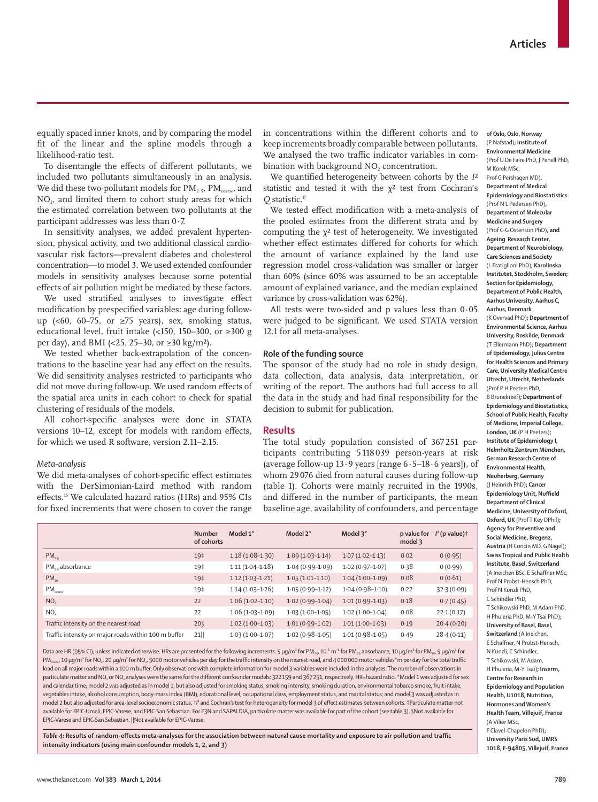**of Oslo, Oslo, Norway** (P Nafstad)**; Institute of** 

equally spaced inner knots, and by comparing the model fit of the linear and the spline models through a likelihood-ratio test.

To disentangle the effects of different pollutants, we included two pollutants simultaneously in an analysis. We did these two-pollutant models for  $PM_{2.5}$ ,  $PM_{coarse}$ , and NO<sub>2</sub>, and limited them to cohort study areas for which the estimated correlation between two pollutants at the participant addresses was less than 0·7.

In sensitivity analyses, we added prevalent hypertension, physical activity, and two additional classical cardiovascular risk factors—prevalent diabetes and cholesterol concentration—to model 3. We used extended confounder models in sensitivity analyses because some potential effects of air pollution might be mediated by these factors.

We used stratified analyses to investigate effect modification by prespecified variables: age during followup (<60, 60–75, or  $\geq$ 75 years), sex, smoking status, educational level, fruit intake  $\left($  <150, 150–300, or  $\geq$ 300 g per day), and BMI (<25, 25–30, or ≥30 kg/m<sup>2</sup>).

We tested whether back-extrapolation of the concentrations to the baseline year had any effect on the results. We did sensitivity analyses restricted to participants who did not move during follow-up. We used random effects of the spatial area units in each cohort to check for spatial clustering of residuals of the models.

All cohort-specific analyses were done in STATA versions 10–12, except for models with random effects, for which we used R software, version 2.11–2.15.

#### *Meta-analysis*

We did meta-analyses of cohort-specific effect estimates with the DerSimonian-Laird method with random effects.<sup>16</sup> We calculated hazard ratios (HRs) and 95% CIs for fixed increments that were chosen to cover the range

in concentrations within the different cohorts and to keep increments broadly comparable between pollutants. We analysed the two traffic indicator variables in combination with background NO<sub>2</sub> concentration.

We quantified heterogeneity between cohorts by the  $I<sup>2</sup>$ statistic and tested it with the  $\chi^2$  test from Cochran's *Q* statistic.17

We tested effect modification with a meta-analysis of the pooled estimates from the different strata and by computing the  $\chi^2$  test of heterogeneity. We investigated whether effect estimates differed for cohorts for which the amount of variance explained by the land use regression model cross-validation was smaller or larger than 60% (since 60% was assumed to be an acceptable amount of explained variance, and the median explained variance by cross-validation was 62%).

All tests were two-sided and p values less than 0·05 were judged to be significant. We used STATA version 12.1 for all meta-analyses.

#### **Role of the funding source**

The sponsor of the study had no role in study design, data collection, data analysis, data interpretation, or writing of the report. The authors had full access to all the data in the study and had final responsibility for the decision to submit for publication.

#### **Results**

The total study population consisted of 367 251 participants contributing 5 118 039 person-years at risk (average follow-up  $13.9$  years [range  $6.5-18.6$  years]), of whom 29 076 died from natural causes during follow-up (table 1). Cohorts were mainly recruited in the 1990s, and differed in the number of participants, the mean baseline age, availability of confounders, and percentage

|                                                      | <b>Number</b><br>of cohorts | Model 1*            | Model 2*            | Model $3^*$         | model 3 | p value for $I^2$ (p value) $\dagger$ |
|------------------------------------------------------|-----------------------------|---------------------|---------------------|---------------------|---------|---------------------------------------|
| $PM_{2.5}$                                           | 19‡                         | $1.18(1.08-1.30)$   | $1.09(1.03 - 1.14)$ | $1.07(1.02 - 1.13)$ | 0.02    | 0(0.95)                               |
| $PM_{2c}$ absorbance                                 | 19‡                         | $1.11(1.04-1.18)$   | $1.04(0.99 - 1.09)$ | $1.02(0.97 - 1.07)$ | 0.38    | 0(0.99)                               |
| $PM_{10}$                                            | 19‡                         | $1.12(1.03-1.21)$   | $1.05(1.01-1.10)$   | $1.04(1.00-1.09)$   | 0.08    | 0(0.61)                               |
| $PM_{\text{coarse}}$                                 | 19‡                         | $1.14(1.03-1.26)$   | $1.05(0.99 - 1.12)$ | $1.04(0.98-1.10)$   | 0.22    | 32.3(0.09)                            |
| NO <sub>2</sub>                                      | 22                          | $1.06(1.02 - 1.10)$ | $1.02(0.99 - 1.04)$ | $1.01(0.99 - 1.03)$ | 0.18    | 0.7(0.45)                             |
| NO <sub>x</sub>                                      | 22                          | $1.06(1.03 - 1.09)$ | $1.03(1.00-1.05)$   | $1.02(1.00-1.04)$   | 0.08    | 22.1(0.17)                            |
| Traffic intensity on the nearest road                | 20                          | $1.02(1.00-1.03)$   | $1.01(0.99 - 1.02)$ | $1.01(1.00-1.03)$   | 0.19    | 20.4(0.20)                            |
| Traffic intensity on major roads within 100 m buffer | 21                          | $1.03(1.00-1.07)$   | $1.02(0.98 - 1.05)$ | $1.01(0.98 - 1.05)$ | 0.49    | 28.4(0.11)                            |

Data are HR (95% CI), unless indicated otherwise. HRs are presented for the following increments: 5 μg/m<sup>3</sup> for PM<sub>2</sub>, 10<sup>-s</sup> m<sup>-1</sup> for PM<sub>12</sub>, absorbance, 10 μg/m<sup>3</sup> for PM<sub>12</sub>, 5 μg/m<sup>3</sup> for PM<sub>12</sub> PMcoarse, 10 µg/m<sup>3</sup> for NO<sub>2</sub>, 20 µg/m<sup>3</sup> for NO<sub>2</sub>, 5000 motor vehicles per day for the traffic intensity on the nearest road, and 4000000 motor vehicles\*m per day for the total traffic load on all major roads within a 100 m buffer. Only observations with complete information for model 3 variables were included in the analyses. The number of observations in particulate matter and NO<sub>2</sub> or NO<sub>2</sub> analyses were the same for the different confounder models: 322 159 and 367 251, respectively. HR=hazard ratio. \*Model 1 was adjusted for sex and calendar time; model 2 was adjusted as in model 1, but also adjusted for smoking status, smoking intensity, smoking duration, environmental tobacco smoke, fruit intake, vegetables intake, alcohol consumption, body-mass index (BMI), educational level, occupational class, employment status, and marital status; and model 3 was adjusted as in model 2 but also adjusted for area-level socioeconomic status. †*P* and Cochran's test for heterogeneity for model 3 of effect estimates between cohorts. ‡Particulate matter not available for EPIC-Umeå, EPIC-Varese, and EPIC-San Sebastian. For E3N and SAPALDIA, particulate matter was available for part of the cohort (see table 3). §Not available for EPIC-Varese and EPIC-San Sebastian. ||Not available for EPIC-Varese.

Table 4: Results of random-effects meta-analyses for the association between natural cause mortality and exposure to air pollution and traffic **intensity indicators (using main confounder models 1, 2, and 3)**

**Environmental Medicine**  (Prof U De Faire PhD, J Penell PhD, M Korek MSc, Prof G Pershagen MD)**, Department of Medical Epidemiology and Biostatistics**  (Prof N L Pedersen PhD)**, Department of Molecular Medicine and Surgery** (Prof C-G Östenson PhD)**, and Ageing Research Center, Department of Neurobiology, Care Sciences and Society**  (L Fratiglioni PhD)**, Karolinska Institutet, Stockholm, Sweden; Section for Epidemiology, Department of Public Health, Aarhus University, Aarhus C, Aarhus, Denmark** (K Overvad PhD)**; Department of Environmental Science, Aarhus University, Roskilde, Denmark** (T Ellermann PhD)**; Department of Epidemiology, Julius Centre for Health Sciences and Primary Care, University Medical Centre Utrecht, Utrecht, Netherlands** (Prof P H Peeters PhD, B Brunekreef)**; Department of Epidemiology and Biostatistics, School of Public Health, Faculty of Medicine, Imperial College, London, UK** (P H Peeters)**; Institute of Epidemiology I, Helmholtz Zentrum München, German Research Centre of Environmental Health, Neuherberg, Germany**  (J Heinrich PhD)**; Cancer Epidemiology Unit, Nuffield Department of Clinical Medicine, University of Oxford, Oxford, UK** (Prof T Key DPhil)**; Agency for Preventive and Social Medicine, Bregenz, Austria** (H Concin MD, G Nagel)**; Swiss Tropical and Public Health Institute, Basel, Switzerland** (A Ineichen BSc, E Schaffner MSc, Prof N Probst-Hensch PhD, Prof N Künzli PhD, C Schindler PhD, T Schikowski PhD, M Adam PhD, H Phuleria PhD, M-Y Tsai PhD)**; University of Basel, Basel, Switzerland** (A Ineichen, E Schaffner, N Probst-Hensch, N Künzli, C Schindler, T Schikowski, M Adam, H Phuleria, M-Y Tsai)**; Inserm, Centre for Research in Epidemiology and Population Health, U1018, Nutrition, Hormones and Women's Health Team, Villejuif, France**  (A Vilier MSc, F Clavel-Chapelon PhD)**;** 

**University Paris Sud, UMRS 1018, F-94805, Villejuif, France**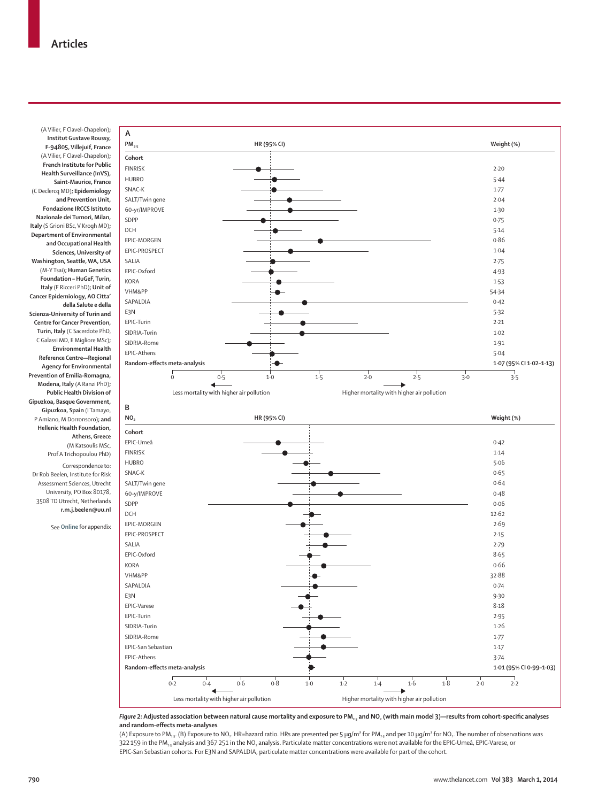(A Vilier, F Clavel-Chapelon)**; Institut Gustave Roussy, F-94805, Villejuif, France** (A Vilier, F Clavel-Chapelon)**; French Institute for Public Health Surveillance (InVS), Saint-Maurice, France**  (C Declercq MD)**; Epidemiology and Prevention Unit, Fondazione IRCCS Istituto Nazionale dei Tumori, Milan, Italy** (S Grioni BSc, V Krogh MD)**; Department of Environmental and Occupational Health Sciences, University of Washington, Seattle, WA, USA**  (M-Y Tsai)**; Human Genetics Foundation – HuGeF, Turin, Italy** (F Ricceri PhD)**; Unit of Cancer Epidemiology, AO Citta' della Salute e della Scienza-University of Turin and Centre for Cancer Prevention, Turin, Italy** (C Sacerdote PhD, C Galassi MD, E Migliore MSc)**; Environmental Health Reference Centre—Regional Agency for Environmental Prevention of Emilia-Romagna, Modena, Italy** (A Ranzi PhD)**; Public Health Division of Gipuzkoa, Basque Government, Gipuzkoa, Spain** (I Tamayo, P Amiano, M Dorronsoro)**; and Hellenic Health Foundation, Athens, Greece** (M Katsoulis MSc, Prof A Trichopoulou PhD) Correspondence to: Dr Rob Beelen, Institute for Risk Assessment Sciences, Utrecht University, PO Box 80178, 3508 TD Utrecht, Netherlands

See **Online** for appendix

**r.m.j.beelen@uu.nl**



#### Figure 2: Adjusted association between natural cause mortality and exposure to PM<sub>1×</sub> and NO<sub>2</sub> (with main model 3)—results from cohort-specific analyses **and random-eff ects meta-analyses**

(A) Exposure to PM<sub>25</sub>. (B) Exposure to NO<sub>2</sub>. HR=hazard ratio. HRs are presented per 5 μg/m<sup>3</sup> for PM<sub>25</sub> and per 10 μg/m<sup>3</sup> for NO<sub>2</sub>. The number of observations was 322 159 in the PM<sub>25</sub> analysis and 367 251 in the NO<sub>2</sub> analysis. Particulate matter concentrations were not available for the EPIC-Umeå, EPIC-Varese, or EPIC-San Sebastian cohorts. For E3N and SAPALDIA, particulate matter concentrations were available for part of the cohort.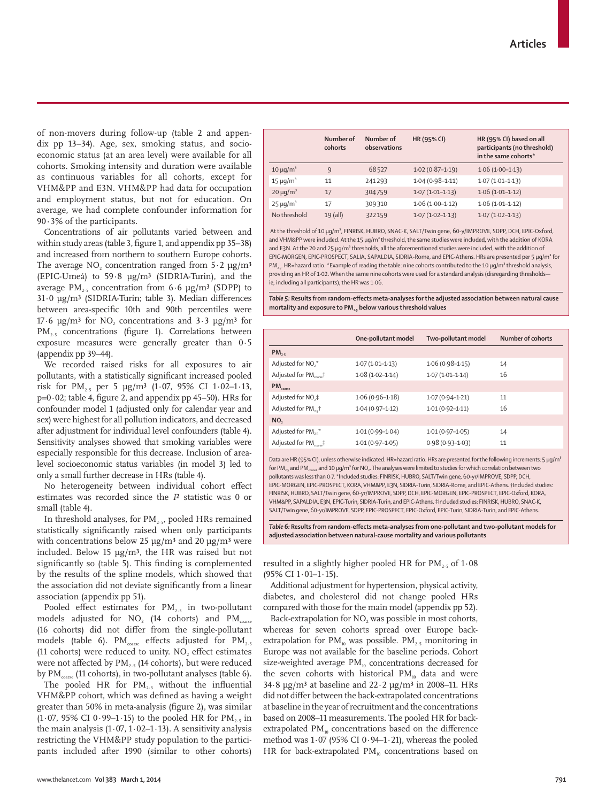www.thelancet.com**Vol 383 March 1, 2014 791**

of non-movers during follow-up (table 2 and appendix pp 13–34). Age, sex, smoking status, and socioeconomic status (at an area level) were available for all cohorts. Smoking intensity and duration were available as continuous variables for all cohorts, except for VHM&PP and E3N. VHM&PP had data for occupation and employment status, but not for education. On average, we had complete confounder information for 90·3% of the participants.

Concentrations of air pollutants varied between and within study areas (table 3, figure 1, and appendix pp 35–38) and increased from northern to southern Europe cohorts. The average NO<sub>2</sub> concentration ranged from  $5.2 \text{ µg/m}^3$ (EPIC-Umeå) to  $59.8 \text{ µg/m}^3$  (SIDRIA-Turin), and the average PM<sub>2.5</sub> concentration from 6.6  $\mu$ g/m<sup>3</sup> (SDPP) to 31·0 μg/m<sup>3</sup> (SIDRIA-Turin; table 3). Median differences between area-specific 10th and 90th percentiles were 17.6 μg/m<sup>3</sup> for NO<sub>2</sub> concentrations and  $3.3 \text{ µg/m}^3$  for  $PM_{2.5}$  concentrations (figure 1). Correlations between exposure measures were generally greater than 0·5 (appendix pp 39–44).

We recorded raised risks for all exposures to air pollutants, with a statistically significant increased pooled risk for PM<sub>2-5</sub> per 5 μg/m<sup>3</sup> (1.07, 95% CI 1.02-1.13,  $p=0.02$ ; table 4, figure 2, and appendix pp 45–50). HRs for confounder model 1 (adjusted only for calendar year and sex) were highest for all pollution indicators, and decreased after adjustment for individual level confounders (table 4). Sensitivity analyses showed that smoking variables were especially responsible for this decrease. Inclusion of arealevel socioeconomic status variables (in model 3) led to only a small further decrease in HRs (table 4).

No heterogeneity between individual cohort effect estimates was recorded since the *I*² statistic was 0 or small (table 4).

In threshold analyses, for PM<sub>2-5</sub>, pooled HRs remained statistically significantly raised when only participants with concentrations below 25  $\mu$ g/m<sup>3</sup> and 20  $\mu$ g/m<sup>3</sup> were included. Below 15  $\mu$ g/m<sup>3</sup>, the HR was raised but not significantly so (table 5). This finding is complemented by the results of the spline models, which showed that the association did not deviate significantly from a linear association (appendix pp 51).

Pooled effect estimates for  $PM<sub>2.5</sub>$  in two-pollutant models adjusted for  $NO<sub>2</sub>$  (14 cohorts) and  $PM<sub>coarse</sub>$ (16 cohorts) did not differ from the single-pollutant models (table 6).  $PM_{\text{coarse}}$  effects adjusted for  $PM_{2.5}$ (11 cohorts) were reduced to unity.  $NO<sub>2</sub>$  effect estimates were not affected by  $PM_{2.5}$  (14 cohorts), but were reduced by  $PM_{\text{coarse}}$  (11 cohorts), in two-pollutant analyses (table 6).

The pooled HR for  $PM_{2.5}$  without the influential VHM&PP cohort, which was defined as having a weight greater than 50% in meta-analysis (figure 2), was similar  $(1.07, 95\% \text{ CI } 0.99 - 1.15)$  to the pooled HR for PM<sub>2.5</sub> in the main analysis  $(1.07, 1.02 - 1.13)$ . A sensitivity analysis restricting the VHM&PP study population to the participants included after 1990 (similar to other cohorts)

|                | Number of<br>cohorts | Number of<br>observations | HR (95% CI)         | HR (95% CI) based on all<br>participants (no threshold)<br>in the same cohorts* |
|----------------|----------------------|---------------------------|---------------------|---------------------------------------------------------------------------------|
| $10 \mu q/m^3$ | 9                    | 68527                     | $1.02(0.87-1.19)$   | $1.06(1.00-1.13)$                                                               |
| $15 \mu q/m^3$ | 11                   | 241293                    | $1.04(0.98 - 1.11)$ | $1.07(1.01 - 1.13)$                                                             |
| $20 \mu g/m^3$ | 17                   | 304759                    | $1.07(1.01-1.13)$   | $1.06(1.01-1.12)$                                                               |
| $25 \mu g/m^3$ | 17                   | 309310                    | $1.06(1.00-1.12)$   | $1.06(1.01-1.12)$                                                               |
| No threshold   | 19 (all)             | 322159                    | $1.07(1.02 - 1.13)$ | $1.07(1.02 - 1.13)$                                                             |

At the threshold of 10 μg/m<sup>3</sup>, FINRISK, HUBRO, SNAC-K, SALT/Twin gene, 60-y/IMPROVE, SDPP, DCH, EPIC-Oxford, and VHM&PP were included. At the 15 μg/m<sup>3</sup> threshold, the same studies were included, with the addition of KORA and E3N. At the 20 and 25 μg/m<sup>3</sup> thresholds, all the aforementioned studies were included, with the addition of EPIC-MORGEN, EPIC-PROSPECT, SALIA, SAPALDIA, SIDRIA-Rome, and EPIC-Athens. HRs are presented per 5 μg/m³ for PM<sub>25</sub>. HR=hazard ratio. \*Example of reading the table: nine cohorts contributed to the 10 μg/m<sup>3</sup> threshold analysis, providing an HR of 1·02. When the same nine cohorts were used for a standard analysis (disregarding thresholds ie, including all participants), the HR was 1·06.

*Table 5:* **Results from random-eff ects meta-analyses for the adjusted association between natural cause mortality and exposure to PM2·5 below various threshold values**

|                                  | One-pollutant model | Two-pollutant model | Number of cohorts |
|----------------------------------|---------------------|---------------------|-------------------|
| $PM_{2x}$                        |                     |                     |                   |
| Adjusted for NO,*                | $1.07(1.01 - 1.13)$ | $1.06(0.98-1.15)$   | 14                |
| Adjusted for PM                  | $1.08(1.02 - 1.14)$ | $1.07(1.01 - 1.14)$ | 16                |
| $PM_{coarse}$                    |                     |                     |                   |
| Adjusted for NO <sub>2</sub> ‡   | $1.06(0.96 - 1.18)$ | $1.07(0.94 - 1.21)$ | 11                |
| Adjusted for PM <sub>1.5</sub> + | $1.04(0.97-1.12)$   | $1.01(0.92 - 1.11)$ | 16                |
| NO <sub>2</sub>                  |                     |                     |                   |
| Adjusted for PM, x*              | $1.01(0.99 - 1.04)$ | $1.01(0.97 - 1.05)$ | 14                |
| Adjusted for PM                  | $1.01(0.97 - 1.05)$ | $0.98(0.93 - 1.03)$ | 11                |

Data are HR (95% CI), unless otherwise indicated. HR=hazard ratio. HRs are presented for the following increments: 5 μg/m<sup>3</sup> for PM<sub>25</sub> and PM<sub>coarse</sub>, and 10 µg/m<sup>3</sup> for NO<sub>2</sub>. The analyses were limited to studies for which correlation between two pollutants was less than 0·7. \*Included studies: FINRISK, HUBRO, SALT/Twin gene, 60-yr/IMPROVE, SDPP, DCH, EPIC-MORGEN, EPIC-PROSPECT, KORA, VHM&PP, E3N, SIDRIA-Turin, SIDRIA-Rome, and EPIC-Athens. †Included studies: FINRISK, HUBRO, SALT/Twin gene, 60-yr/IMPROVE, SDPP, DCH, EPIC-MORGEN, EPIC-PROSPECT, EPIC-Oxford, KORA, VHM&PP, SAPALDIA, E3N, EPIC-Turin, SIDRIA-Turin, and EPIC-Athens. ‡Included studies: FINRISK, HUBRO, SNAC-K, SALT/Twin gene, 60-yr/IMPROVE, SDPP, EPIC-PROSPECT, EPIC-Oxford, EPIC-Turin, SIDRIA-Turin, and EPIC-Athens.

Table 6: Results from random-effects meta-analyses from one-pollutant and two-pollutant models for **adjusted association between natural-cause mortality and various pollutants**

resulted in a slightly higher pooled HR for  $PM_{2.5}$  of  $1.08$ (95% CI 1·01–1·15).

Additional adjustment for hypertension, physical activity, diabetes, and cholesterol did not change pooled HRs compared with those for the main model (appendix pp 52).

Back-extrapolation for NO<sub>2</sub> was possible in most cohorts, whereas for seven cohorts spread over Europe backextrapolation for  $PM_{10}$  was possible.  $PM_{2.5}$  monitoring in Europe was not available for the baseline periods. Cohort size-weighted average  $PM_{10}$  concentrations decreased for the seven cohorts with historical  $PM_{10}$  data and were 34 $\cdot$ 8 μg/m<sup>3</sup> at baseline and 22 $\cdot$ 2 μg/m<sup>3</sup> in 2008–11. HRs did not differ between the back-extrapolated concentrations at baseline in the year of recruitment and the concentrations based on 2008–11 measurements. The pooled HR for backextrapolated  $PM_{10}$  concentrations based on the difference method was  $1.07$  (95% CI  $0.94-1.21$ ), whereas the pooled HR for back-extrapolated  $PM_{10}$  concentrations based on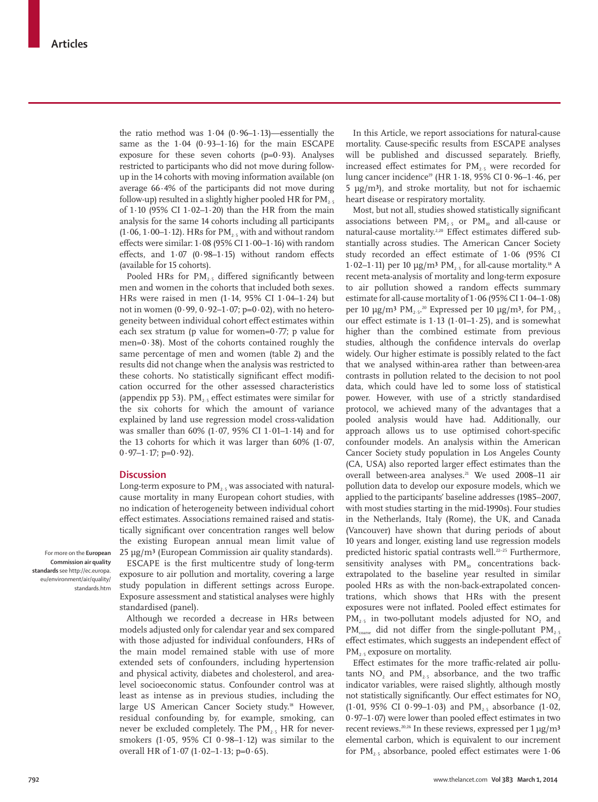the ratio method was  $1.04$  (0.96–1.13)—essentially the same as the  $1.04$  (0.93-1.16) for the main ESCAPE exposure for these seven cohorts  $(p=0.93)$ . Analyses restricted to participants who did not move during followup in the 14 cohorts with moving information available (on average 66·4% of the participants did not move during follow-up) resulted in a slightly higher pooled HR for  $PM_{2.5}$ of 1·10 (95% CI 1·02–1·20) than the HR from the main analysis for the same 14 cohorts including all participants  $(1.06, 1.00-1.12)$ . HRs for PM<sub>2-5</sub> with and without random effects were similar:  $1.08$  (95% CI  $1.00-1.16$ ) with random effects, and  $1.07$  (0.98–1.15) without random effects (available for 15 cohorts).

Pooled HRs for  $PM_{2.5}$  differed significantly between men and women in the cohorts that included both sexes. HRs were raised in men (1·14, 95% CI 1·04–1·24) but not in women  $(0.99, 0.92 - 1.07; p=0.02)$ , with no heterogeneity between individual cohort effect estimates within each sex stratum (p value for women= $0.77$ ; p value for men=0·38). Most of the cohorts contained roughly the same percentage of men and women (table 2) and the results did not change when the analysis was restricted to these cohorts. No statistically significant effect modification occurred for the other assessed characteristics (appendix pp 53). PM<sub>25</sub> effect estimates were similar for the six cohorts for which the amount of variance explained by land use regression model cross-validation was smaller than 60% (1·07, 95% CI 1·01–1·14) and for the 13 cohorts for which it was larger than  $60\%$  (1 $\cdot$ 07,  $0.97-1.17$ ; p= $0.92$ ).

#### **Discussion**

Long-term exposure to  $PM_{2.5}$  was associated with naturalcause mortality in many European cohort studies, with no indication of heterogeneity between individual cohort effect estimates. Associations remained raised and statistically significant over concentration ranges well below the existing European annual mean limit value of 25 μg/m³ (European Commission air quality standards).

ESCAPE is the first multicentre study of long-term exposure to air pollution and mortality, covering a large study population in different settings across Europe. Exposure assessment and statistical analyses were highly standardised (panel).

Although we recorded a decrease in HRs between models adjusted only for calendar year and sex compared with those adjusted for individual confounders, HRs of the main model remained stable with use of more extended sets of confounders, including hypertension and physical activity, diabetes and cholesterol, and arealevel socioeconomic status. Confounder control was at least as intense as in previous studies, including the large US American Cancer Society study.<sup>18</sup> However, residual confounding by, for example, smoking, can never be excluded completely. The  $PM_{2.5}$  HR for neversmokers (1 $\cdot$ 05, 95% CI 0 $\cdot$ 98-1 $\cdot$ 12) was similar to the overall HR of  $1.07$  ( $1.02-1.13$ ; p= $0.65$ ).

In this Article, we report associations for natural-cause mortality. Cause-specific results from ESCAPE analyses will be published and discussed separately. Briefly, increased effect estimates for  $PM<sub>2.5</sub>$  were recorded for lung cancer incidence19 (HR 1·18, 95% CI 0·96–1·46, per 5 μg/m³), and stroke mortality, but not for ischaemic heart disease or respiratory mortality.

Most, but not all, studies showed statistically significant associations between  $PM_{2.5}$  or  $PM_{10}$  and all-cause or natural-cause mortality.<sup>2,20</sup> Effect estimates differed substantially across studies. The American Cancer Society study recorded an effect estimate of  $1.06$  (95% CI 1·02–1·11) per 10  $\mu$ g/m<sup>3</sup> PM<sub>2·5</sub> for all-cause mortality.<sup>18</sup> A recent meta-analysis of mortality and long-term exposure to air pollution showed a random effects summary estimate for all-cause mortality of  $1.06$  (95% CI  $1.04-1.08$ ) per 10  $\mu$ g/m<sup>3</sup> PM<sub>2</sub>.<sub>5</sub>.<sup>20</sup> Expressed per 10  $\mu$ g/m<sup>3</sup>, for PM<sub>2.5</sub> our effect estimate is  $1.13$  ( $1.01-1.25$ ), and is somewhat higher than the combined estimate from previous studies, although the confidence intervals do overlap widely. Our higher estimate is possibly related to the fact that we analysed within-area rather than between-area contrasts in pollution related to the decision to not pool data, which could have led to some loss of statistical power. However, with use of a strictly standardised protocol, we achieved many of the advantages that a pooled analysis would have had. Additionally, our approach allows us to use optimised cohort-specific confounder models. An analysis within the American Cancer Society study population in Los Angeles County (CA, USA) also reported larger effect estimates than the overall between-area analyses.<sup>21</sup> We used 2008-11 air pollution data to develop our exposure models, which we applied to the participants' baseline addresses (1985–2007, with most studies starting in the mid-1990s). Four studies in the Netherlands, Italy (Rome), the UK, and Canada (Vancouver) have shown that during periods of about 10 years and longer, existing land use regression models predicted historic spatial contrasts well.<sup>22-25</sup> Furthermore, sensitivity analyses with  $PM_{10}$  concentrations backextrapolated to the baseline year resulted in similar pooled HRs as with the non-back-extrapolated concentrations, which shows that HRs with the present exposures were not inflated. Pooled effect estimates for  $PM_{2.5}$  in two-pollutant models adjusted for NO<sub>2</sub> and  $PM_{\text{coarse}}$  did not differ from the single-pollutant  $PM_{2.5}$ effect estimates, which suggests an independent effect of PM<sub>2-5</sub> exposure on mortality.

Effect estimates for the more traffic-related air pollutants  $NO<sub>2</sub>$  and  $PM<sub>2.5</sub>$  absorbance, and the two traffic indicator variables, were raised slightly, although mostly not statistically significantly. Our effect estimates for NO<sub>2</sub> (1.01, 95% CI 0.99-1.03) and  $PM_{2.5}$  absorbance (1.02,  $0.97-1.07$ ) were lower than pooled effect estimates in two recent reviews.<sup>20,26</sup> In these reviews, expressed per  $1 \mu g/m^3$ elemental carbon, which is equivalent to our increment for  $PM_{2.5}$  absorbance, pooled effect estimates were 1.06

For more on the **European Commission air quality standards** see http://ec.europa. eu/environment/air/quality/ standards.htm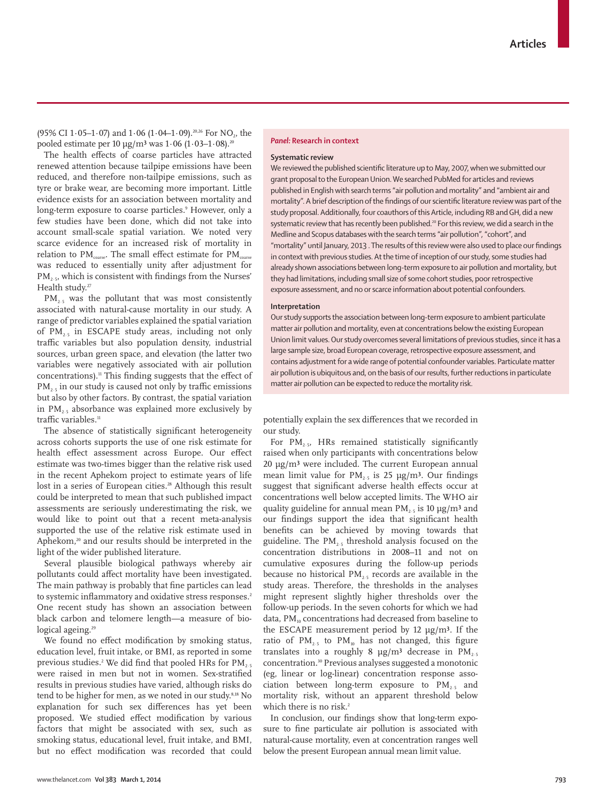(95% CI 1·05–1·07) and 1·06 (1·04–1·09).<sup>20,26</sup> For NO<sub>2</sub>, the pooled estimate per 10 μg/m<sup>3</sup> was  $1.06$  ( $1.03-1.08$ ).<sup>21</sup>

The health effects of coarse particles have attracted renewed attention because tailpipe emissions have been reduced, and therefore non-tailpipe emissions, such as tyre or brake wear, are becoming more important. Little evidence exists for an association between mortality and long-term exposure to coarse particles.' However, only a few studies have been done, which did not take into account small-scale spatial variation. We noted very scarce evidence for an increased risk of mortality in relation to  $PM_{\text{conv}}$ . The small effect estimate for  $PM_{\text{conv}}$ was reduced to essentially unity after adjustment for  $PM_{2.5}$ , which is consistent with findings from the Nurses' Health study.<sup>27</sup>

 $PM<sub>2.5</sub>$  was the pollutant that was most consistently associated with natural-cause mortality in our study. A range of predictor variables explained the spatial variation of  $PM_{2.5}$  in ESCAPE study areas, including not only traffic variables but also population density, industrial sources, urban green space, and elevation (the latter two variables were negatively associated with air pollution concentrations).<sup>11</sup> This finding suggests that the effect of  $PM_{2.5}$  in our study is caused not only by traffic emissions but also by other factors. By contrast, the spatial variation in  $PM_{2.5}$  absorbance was explained more exclusively by traffic variables.<sup>11</sup>

The absence of statistically significant heterogeneity across cohorts supports the use of one risk estimate for health effect assessment across Europe. Our effect estimate was two-times bigger than the relative risk used in the recent Aphekom project to estimate years of life lost in a series of European cities.<sup>28</sup> Although this result could be interpreted to mean that such published impact assessments are seriously underestimating the risk, we would like to point out that a recent meta-analysis supported the use of the relative risk estimate used in Aphekom,<sup>20</sup> and our results should be interpreted in the light of the wider published literature.

Several plausible biological pathways whereby air pollutants could affect mortality have been investigated. The main pathway is probably that fine particles can lead to systemic inflammatory and oxidative stress responses.<sup>2</sup> One recent study has shown an association between black carbon and telomere length—a measure of biological ageing.<sup>29</sup>

We found no effect modification by smoking status, education level, fruit intake, or BMI, as reported in some previous studies. $^2$  We did find that pooled HRs for PM $_{\text{2-5}}$ were raised in men but not in women. Sex-stratified results in previous studies have varied, although risks do tend to be higher for men, as we noted in our study.<sup>8,18</sup> No explanation for such sex differences has yet been proposed. We studied effect modification by various factors that might be associated with sex, such as smoking status, educational level, fruit intake, and BMI, but no effect modification was recorded that could

#### *Panel:* **Research in context**

#### **Systematic review**

We reviewed the published scientific literature up to May, 2007, when we submitted our grant proposal to the European Union. We searched PubMed for articles and reviews published in English with search terms "air pollution and mortality" and "ambient air and mortality". A brief description of the findings of our scientific literature review was part of the study proposal. Additionally, four coauthors of this Article, including RB and GH, did a new systematic review that has recently been published.<sup>20</sup> For this review, we did a search in the Medline and Scopus databases with the search terms "air pollution", "cohort", and "mortality" until January, 2013 . The results of this review were also used to place our findings in context with previous studies. At the time of inception of our study, some studies had already shown associations between long-term exposure to air pollution and mortality, but they had limitations, including small size of some cohort studies, poor retrospective exposure assessment, and no or scarce information about potential confounders.

#### **Interpretation**

Our study supports the association between long-term exposure to ambient particulate matter air pollution and mortality, even at concentrations below the existing European Union limit values. Our study overcomes several limitations of previous studies, since it has a large sample size, broad European coverage, retrospective exposure assessment, and contains adjustment for a wide range of potential confounder variables. Particulate matter air pollution is ubiquitous and, on the basis of our results, further reductions in particulate matter air pollution can be expected to reduce the mortality risk.

potentially explain the sex differences that we recorded in our study.

For  $PM<sub>2.5</sub>$ , HRs remained statistically significantly raised when only participants with concentrations below 20 μg/m³ were included. The current European annual mean limit value for  $PM_{2.5}$  is 25 μg/m<sup>3</sup>. Our findings suggest that significant adverse health effects occur at concentrations well below accepted limits. The WHO air quality guideline for annual mean  $PM_{2.5}$  is 10  $\mu$ g/m<sup>3</sup> and our findings support the idea that significant health benefits can be achieved by moving towards that guideline. The  $PM_{2.5}$  threshold analysis focused on the concentration distributions in 2008–11 and not on cumulative exposures during the follow-up periods because no historical  $PM_{2.5}$  records are available in the study areas. Therefore, the thresholds in the analyses might represent slightly higher thresholds over the follow-up periods. In the seven cohorts for which we had data,  $PM_{10}$  concentrations had decreased from baseline to the ESCAPE measurement period by 12  $\mu$ g/m<sup>3</sup>. If the ratio of  $PM_{2.5}$  to  $PM_{10}$  has not changed, this figure translates into a roughly 8  $\mu$ g/m<sup>3</sup> decrease in PM<sub>2</sub>.5 concentration.30 Previous analyses suggested a monotonic (eg, linear or log-linear) concentration response association between long-term exposure to  $PM_{2.5}$  and mortality risk, without an apparent threshold below which there is no risk.<sup>2</sup>

In conclusion, our findings show that long-term exposure to fine particulate air pollution is associated with natural-cause mortality, even at concentration ranges well below the present European annual mean limit value.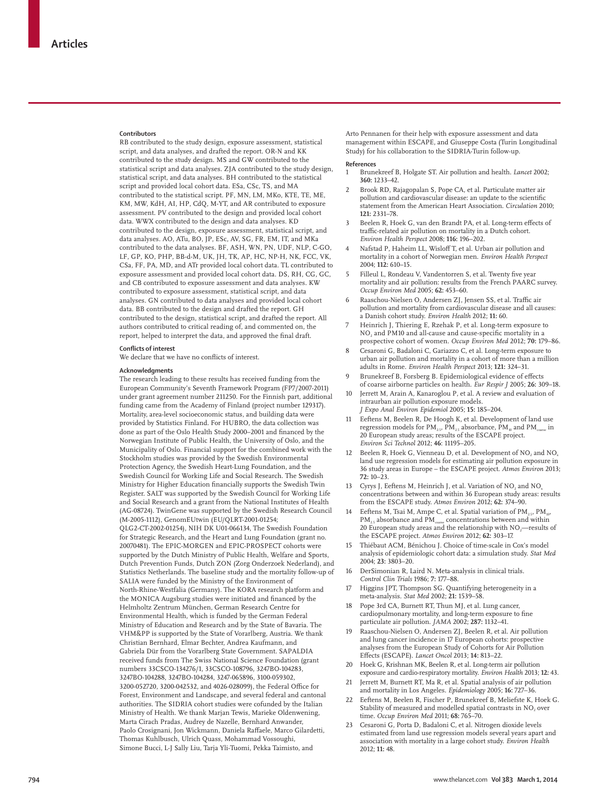#### **Contributors**

RB contributed to the study design, exposure assessment, statistical script, and data analyses, and drafted the report. OR-N and KK contributed to the study design. MS and GW contributed to the statistical script and data analyses. ZJA contributed to the study design, statistical script, and data analyses. BH contributed to the statistical script and provided local cohort data. ESa, CSc, TS, and MA contributed to the statistical script. PF, MN, LM, MKo, KTE, TE, ME, KM, MW, KdH, AI, HP, CdQ, M-YT, and AR contributed to exposure assessment. PV contributed to the design and provided local cohort data. WWX contributed to the design and data analyses. KD contributed to the design, exposure assessment, statistical script, and data analyses. AO, ATu, BO, JP, ESc, AV, SG, FR, EM, IT, and MKa contributed to the data analyses. BF, ASH, WN, PN, UDF, NLP, C-GO, LF, GP, KO, PHP, BB-d-M, UK, JH, TK, AP, HC, NP-H, NK, FCC, VK, CSa, FF, PA, MD, and ATr provided local cohort data. TL contributed to exposure assessment and provided local cohort data. DS, RH, CG, GC, and CB contributed to exposure assessment and data analyses. KW contributed to exposure assessment, statistical script, and data analyses. GN contributed to data analyses and provided local cohort data. BB contributed to the design and drafted the report. GH contributed to the design, statistical script, and drafted the report. All authors contributed to critical reading of, and commented on, the report, helped to interpret the data, and approved the final draft.

#### **Conflicts of interest**

We declare that we have no conflicts of interest.

#### **Acknowledgments**

The research leading to these results has received funding from the European Community's Seventh Framework Program (FP7/2007-2011) under grant agreement number 211250. For the Finnish part, additional funding came from the Academy of Finland (project number 129317). Mortality, area-level socioeconomic status, and building data were provided by Statistics Finland. For HUBRO, the data collection was done as part of the Oslo Health Study 2000-2001 and financed by the Norwegian Institute of Public Health, the University of Oslo, and the Municipality of Oslo. Financial support for the combined work with the Stockholm studies was provided by the Swedish Environmental Protection Agency, the Swedish Heart-Lung Foundation, and the Swedish Council for Working Life and Social Research. The Swedish Ministry for Higher Education financially supports the Swedish Twin Register. SALT was supported by the Swedish Council for Working Life and Social Research and a grant from the National Institutes of Health (AG-08724). TwinGene was supported by the Swedish Research Council (M-2005-1112), GenomEUtwin (EU/QLRT-2001-01254; QLG2-CT-2002-01254), NIH DK U01-066134, The Swedish Foundation for Strategic Research, and the Heart and Lung Foundation (grant no. 20070481). The EPIC-MORGEN and EPIC-PROSPECT cohorts were supported by the Dutch Ministry of Public Health, Welfare and Sports, Dutch Prevention Funds, Dutch ZON (Zorg Onderzoek Nederland), and Statistics Netherlands. The baseline study and the mortality follow-up of SALIA were funded by the Ministry of the Environment of North-Rhine-Westfalia (Germany). The KORA research platform and the MONICA Augsburg studies were initiated and financed by the Helmholtz Zentrum München, German Research Centre for Environmental Health, which is funded by the German Federal Ministry of Education and Research and by the State of Bavaria. The VHM&PP is supported by the State of Vorarlberg, Austria. We thank Christian Bernhard, Elmar Bechter, Andrea Kaufmann, and Gabriela Dür from the Vorarlberg State Government. SAPALDIA received funds from The Swiss National Science Foundation (grant numbers 33CSCO-134276/1, 33CSCO-108796, 3247BO-104283, 3247BO-104288, 3247BO-104284, 3247-065896, 3100-059302, 3200-052720, 3200-042532, and 4026-028099), the Federal Office for Forest, Environment and Landscape, and several federal and cantonal authorities. The SIDRIA cohort studies were cofunded by the Italian Ministry of Health. We thank Marjan Tewis, Marieke Oldenwening, Marta Cirach Pradas, Audrey de Nazelle, Bernhard Anwander, Paolo Crosignani, Jon Wickmann, Daniela Raffaele, Marco Gilardetti, Thomas Kuhlbusch, Ulrich Quass, Mohammad Vossoughi, Simone Bucci, L-J Sally Liu, Tarja Yli-Tuomi, Pekka Taimisto, and

Arto Pennanen for their help with exposure assessment and data management within ESCAPE, and Giuseppe Costa (Turin Longitudinal Study) for his collaboration to the SIDRIA-Turin follow-up.

### **References**

- 1 Brunekreef B, Holgate ST. Air pollution and health. *Lancet* 2002; **360:** 1233–42.
- 2 Brook RD, Rajagopalan S, Pope CA, et al. Particulate matter air pollution and cardiovascular disease: an update to the scientific statement from the American Heart Association. *Circulation* 2010; **121:** 2331–78.
- 3 Beelen R, Hoek G, van den Brandt PA, et al. Long-term effects of traffic-related air pollution on mortality in a Dutch cohort. *Environ Health Perspect* 2008; **116:** 196–202.
- Nafstad P, Haheim LL, Wisloff T, et al. Urban air pollution and mortality in a cohort of Norwegian men. *Environ Health Perspect* 2004; **112:** 610–15.
- 5 Filleul L, Rondeau V, Vandentorren S, et al. Twenty five year mortality and air pollution: results from the French PAARC survey. *Occup Environ Med* 2005; **62:** 453–60.
- 6 Raaschou-Nielsen O, Andersen ZJ, Jensen SS, et al. Traffic air pollution and mortality from cardiovascular disease and all causes: a Danish cohort study. *Environ Health* 2012; **11:** 60.
- Heinrich J, Thiering E, Rzehak P, et al. Long-term exposure to  $NO<sub>2</sub>$  and PM10 and all-cause and cause-specific mortality in a prospective cohort of women. *Occup Environ Med* 2012; **70:** 179–86.
- 8 Cesaroni G, Badaloni C, Gariazzo C, et al. Long-term exposure to urban air pollution and mortality in a cohort of more than a million adults in Rome. *Environ Health Perspect* 2013; **121:** 324–31.
- 9 Brunekreef B, Forsberg B. Epidemiological evidence of effects of coarse airborne particles on health. *Eur Respir J* 2005; **26:** 309–18.
- 10 Jerrett M, Arain A, Kanaroglou P, et al. A review and evaluation of intraurban air pollution exposure models. *J Expo Anal Environ Epidemiol* 2005; **15:** 185–204.
- 11 Eeftens M, Beelen R, De Hoogh K, et al. Development of land use regression models for  $PM_{2.5}$ ,  $PM_{2.5}$  absorbance,  $PM_{10}$  and  $PM_{\text{coarse}}$  in 20 European study areas; results of the ESCAPE project. *Environ Sci Technol* 2012; **46**: 11195–205.
- 12 Beelen R, Hoek G, Vienneau D, et al. Development of  $NO<sub>2</sub>$  and  $NO<sub>x</sub>$ land use regression models for estimating air pollution exposure in 36 study areas in Europe – the ESCAPE project. *Atmos Environ* 2013; **72:** 10–23.
- Cyrys J, Eeftens M, Heinrich J, et al. Variation of NO<sub>2</sub> and NO<sub>x</sub> concentrations between and within 36 European study areas: results from the ESCAPE study. *Atmos Environ* 2012; **62:** 374–90.
- 14 Eeftens M, Tsai M, Ampe C, et al. Spatial variation of  $PM_{25}$ ,  $PM_{101}$  $\mathrm{PM}_{\mathrm{2.5}}$  absorbance and  $\mathrm{\tilde{PM}_{coarse}}$  concentrations between and within 20 European study areas and the relationship with  $NO_2$ —results of the ESCAPE project. *Atmos Environ* 2012; **62:** 303–17.
- Thiébaut ACM, Bénichou J. Choice of time-scale in Cox's model analysis of epidemiologic cohort data: a simulation study. *Stat Med* 2004; **23:** 3803–20.
- 16 DerSimonian R, Laird N. Meta-analysis in clinical trials. *Control Clin Trials* 1986; **7:** 177–88.
- 17 Higgins JPT, Thompson SG. Quantifying heterogeneity in a meta-analysis. *Stat Med* 2002; **21:** 1539–58.
- 18 Pope 3rd CA, Burnett RT, Thun MJ, et al. Lung cancer, cardiopulmonary mortality, and long-term exposure to fine particulate air pollution. *JAMA* 2002; **287:** 1132–41.
- 19 Raaschou-Nielsen O, Andersen ZJ, Beelen R, et al. Air pollution and lung cancer incidence in 17 European cohorts: prospective analyses from the European Study of Cohorts for Air Pollution Effects (ESCAPE). *Lancet Oncol* 2013; 14: 813–22.
- 20 Hoek G, Krishnan MK, Beelen R, et al. Long-term air pollution exposure and cardio-respiratory mortality. *Environ Health* 2013; **12:** 43.
- 21 Jerrett M, Burnett RT, Ma R, et al. Spatial analysis of air pollution and mortality in Los Angeles. *Epidemiology* 2005; **16:** 727–36.
- Eeftens M, Beelen R, Fischer P, Brunekreef B, Meliefste K, Hoek G. Stability of measured and modelled spatial contrasts in  $NO<sub>2</sub>$  over time. *Occup Environ Med* 2011; **68:** 765–70.
- 23 Cesaroni G, Porta D, Badaloni C, et al. Nitrogen dioxide levels estimated from land use regression models several years apart and association with mortality in a large cohort study. *Environ Health* 2012; **11:** 48.